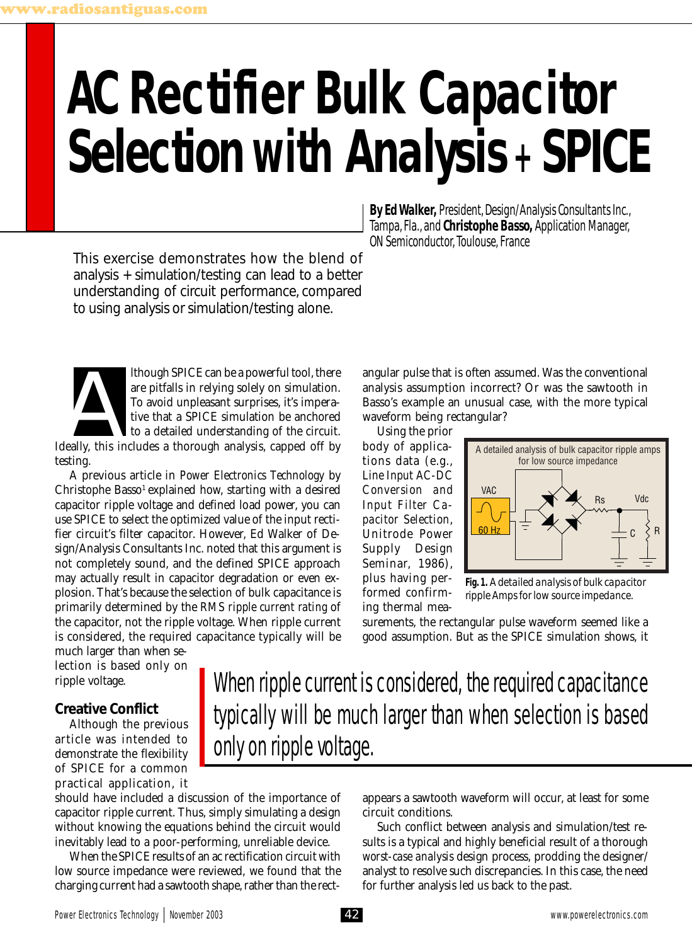# **AC Rectifier Bulk Capacitor Selection with Analysis + SPICE**

This exercise demonstrates how the blend of analysis + simulation/testing can lead to a better understanding of circuit performance, compared to using analysis or simulation/testing alone.

**By Ed Walker,** President, Design/Analysis Consultants Inc., Tampa, Fla., and **Christophe Basso,** Application Manager, ON Semiconductor, Toulouse, France

Ithough SPICE can be a powerful tool, there<br>
are pitfalls in relying solely on simulation.<br>
To avoid unpleasant surprises, it's impera-<br>
tive that a SPICE simulation be anchored<br>
to a detailed understanding of the circuit. are pitfalls in relying solely on simulation. To avoid unpleasant surprises, it's imperative that a SPICE simulation be anchored to a detailed understanding of the circuit. testing.

A previous article in *Power Electronics Technology* by Christophe Basso<sup>1</sup> explained how, starting with a desired capacitor ripple voltage and defined load power, you can use SPICE to select the optimized value of the input rectifier circuit's filter capacitor. However, Ed Walker of Design/Analysis Consultants Inc. noted that this argument is not completely sound, and the defined SPICE approach may actually result in capacitor degradation or even explosion. That's because the selection of bulk capacitance is primarily determined by the *RMS ripple current rating* of the capacitor, not the ripple voltage. When ripple current is considered, the required capacitance typically will be

much larger than when selection is based only on ripple voltage.

## **Creative Conflict**

Although the previous article was intended to demonstrate the flexibility of SPICE for a common practical application, it

should have included a discussion of the importance of capacitor ripple current. Thus, simply simulating a design without knowing the equations behind the circuit would inevitably lead to a poor-performing, unreliable device.

When the SPICE results of an ac rectification circuit with low source impedance were reviewed, we found that the charging current had a sawtooth shape, rather than the rectangular pulse that is often assumed. Was the conventional analysis assumption incorrect? Or was the sawtooth in Basso's example an unusual case, with the more typical waveform being rectangular?

Using the prior body of applications data (e.g., *Line Input AC-DC Conversion and Input Filter Capacitor Selection*, Unitrode Power Supply Design Seminar, 1986), plus having performed confirming thermal mea-



**Fig. 1.** *A detailed analysis of bulk capacitor ripple Amps for low source impedance.*

surements, the rectangular pulse waveform seemed like a good assumption. But as the SPICE simulation shows, it

# When ripple current is considered, the required capacitance typically will be much larger than when selection is based only on ripple voltage.

appears a sawtooth waveform will occur, at least for some circuit conditions.

Such conflict between analysis and simulation/test results is a typical and highly beneficial result of a thorough *worst-case analysis* design process, prodding the designer/ analyst to resolve such discrepancies. In this case, the need for further analysis led us back to the past.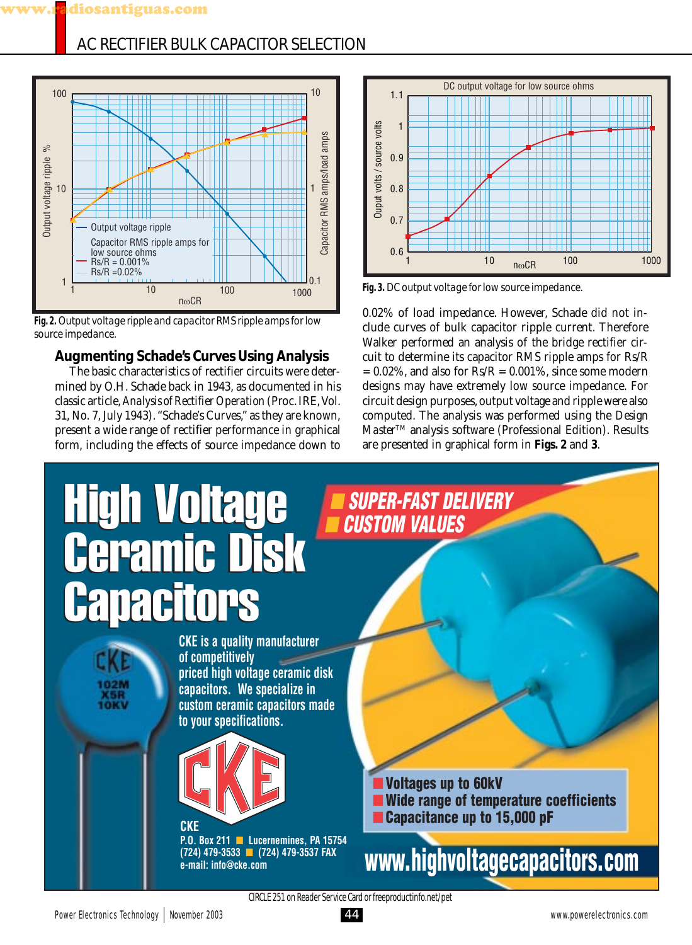# AC RECTIFIER BULK CAPACITOR SELECTION



**Fig. 2.** *Output voltage ripple and capacitor RMS ripple amps for low source impedance.*

# **Augmenting Schade's Curves Using Analysis**

The basic characteristics of rectifier circuits were determined by O.H. Schade back in 1943, as documented in his classic article, *Analysis of Rectifier Operation* (Proc. IRE, Vol. 31, No. 7, July 1943). "Schade's Curves," as they are known, present a wide range of rectifier performance in graphical form, including the effects of source impedance down to



**Fig. 3.** *DC output voltage for low source impedance.*

0.02% of load impedance. However, Schade did not include curves of bulk capacitor ripple current. Therefore Walker performed an analysis of the bridge rectifier circuit to determine its capacitor RMS ripple amps for Rs/R  $= 0.02\%$ , and also for Rs/R  $= 0.001\%$ , since some modern designs may have extremely low source impedance. For circuit design purposes, output voltage and ripple were also computed. The analysis was performed using the *Design Master*TM analysis software (Professional Edition). Results are presented in graphical form in **Figs. 2** and **3**.

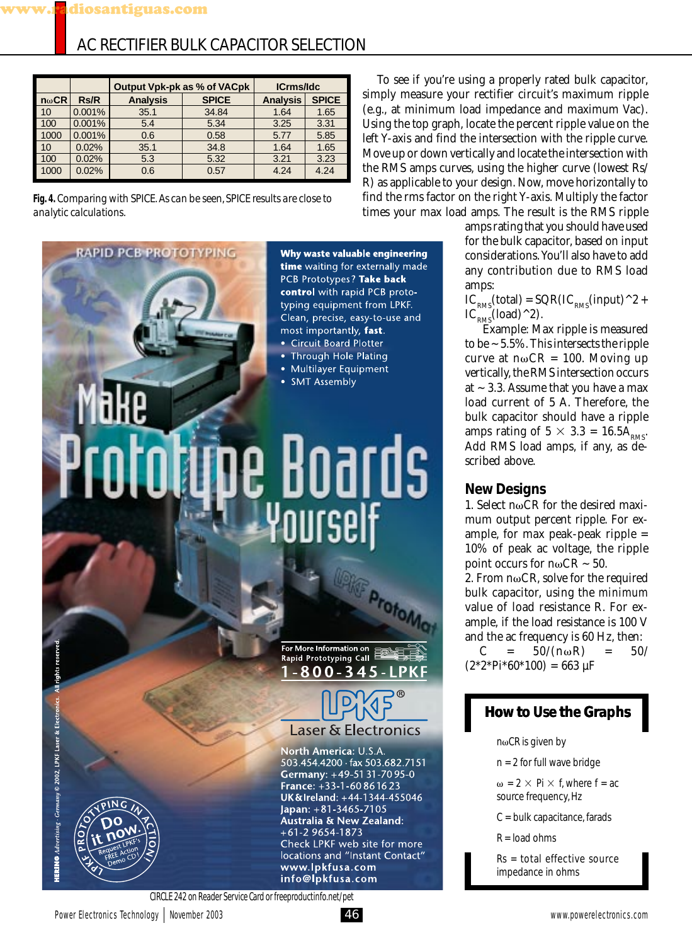| AC RECTIFIER BULK CAPACITOR SELECTION |
|---------------------------------------|
|---------------------------------------|

|              |             | Output Vpk-pk as % of VACpk |              | <b>ICrms/Idc</b> |              |
|--------------|-------------|-----------------------------|--------------|------------------|--------------|
| $n\omega$ CR | <b>Rs/R</b> | <b>Analysis</b>             | <b>SPICE</b> | <b>Analysis</b>  | <b>SPICE</b> |
| 10           | 0.001%      | 35.1                        | 34.84        | 1.64             | 1.65         |
| 100          | 0.001%      | 5.4                         | 5.34         | 3.25             | 3.31         |
| 1000         | 0.001%      | 0.6                         | 0.58         | 5.77             | 5.85         |
| 10           | 0.02%       | 35.1                        | 34.8         | 1.64             | 1.65         |
| 100          | 0.02%       | 5.3                         | 5.32         | 3.21             | 3.23         |
| 1000         | 0.02%       | 0.6                         | 0.57         | 4.24             | 4.24         |

**Fig. 4.** *Comparing with SPICE. As can be seen, SPICE results are close to analytic calculations.*

RAPID PCB PROTOTYPING

Why waste valuable engineering time waiting for externally made PCB Prototypes? Take back control with rapid PCB prototyping equipment from LPKF. Clean, precise, easy-to-use and most importantly, fast.

- Circuit Board Plotter **Through Hole Plating**
- 
- · Multilayer Equipment
- **SMT Assembly**

# Boards

For More Information on<br>Rapid Prototyping Call  $-800 \boldsymbol{\Lambda}$  $\overline{\mathbf{S}}$ 

Proton

# **Laser & Electronics**

North America: U.S.A. 503.454.4200 · fax 503.682.7151 Germany: +49-51 31-70 95-0 France: +33-1-60861623 UK&Ireland: +44-1344-455046 Japan: +81-3465-7105 Australia & New Zealand: +61-2 9654-1873 Check LPKF web site for more locations and "Instant Contact" www.lpkfusa.com info@lpkfusa.com

To see if you're using a properly rated bulk capacitor, simply measure your rectifier circuit's maximum ripple (e.g., at minimum load impedance and maximum Vac). Using the top graph, locate the percent ripple value on the left Y-axis and find the intersection with the ripple curve. Move up or down vertically and locate the intersection with the RMS amps curves, using the higher curve (lowest Rs/ R) as applicable to your design. Now, move horizontally to find the rms factor on the right Y-axis. Multiply the factor times your max load amps. The result is the RMS ripple

amps rating that you should have used for the bulk capacitor, based on input considerations. You'll also have to add any contribution due to RMS load amps:

 $IC_{RMS}(total) = SQR(IC_{RMS}(input)^2 +$  $IC_{RMS}$ (load) ^2).

 Example: Max ripple is measured to be  $\sim$  5.5%. This intersects the ripple curve at  $n\omega CR = 100$ . Moving up vertically, the RMS intersection occurs at  $\sim$  3.3. Assume that you have a max load current of 5 A. Therefore, the bulk capacitor should have a ripple amps rating of  $5 \times 3.3 = 16.5 \text{A}_{RMS}$ . Add RMS load amps, if any, as described above.

### **New Designs**

1. Select  $n\omega$ CR for the desired maximum output percent ripple. For example, for max peak-peak ripple = 10% of peak ac voltage, the ripple point occurs for  $n\omega$ CR  $\sim$  50. 2. From  $n\omega$ CR, solve for the required bulk capacitor, using the *minimum* value of load resistance R. For example, if the load resistance is 100 V

and the ac frequency is 60 Hz, then:  $C = 50/(n\omega R) = 50/$  $(2*2*Pi*60*100) = 663 \text{ }\mu\text{F}$ 

# **How to Use the Graphs**

 $n\omega$ CR is given by

n = 2 for full wave bridge

 $\omega$  = 2  $\times$  Pi  $\times$  f, where f = ac source frequency, Hz

- C = bulk capacitance, farads
- $R =$ load ohms

Rs = total effective source impedance in ohms



ERING Advertising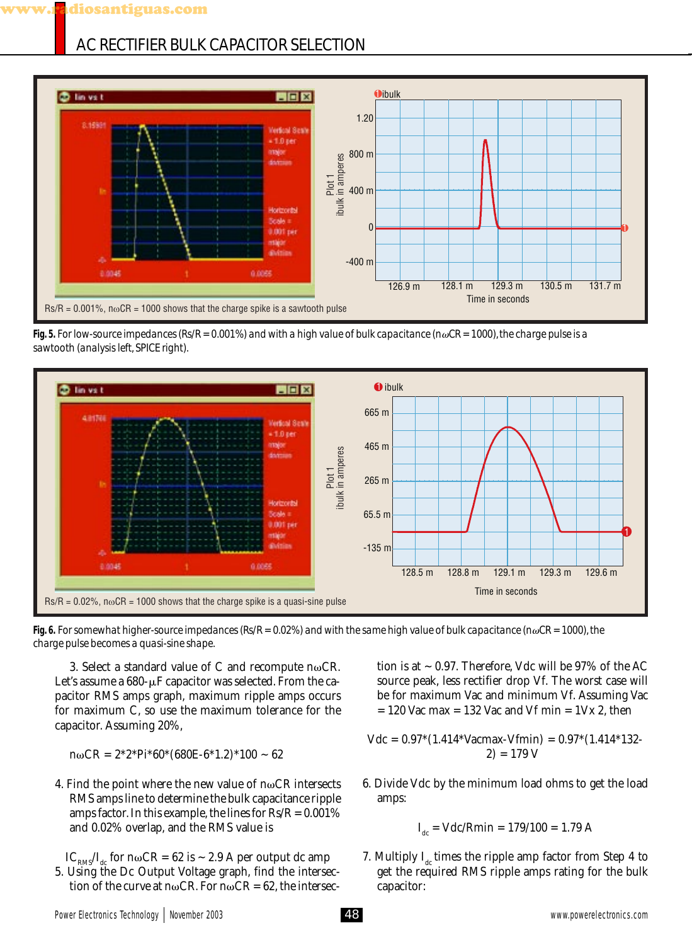# AC RECTIFIER BULK CAPACITOR SELECTION



**Fig. 5.** *For low-source impedances (Rs/R = 0.001%) and with a high value of bulk capacitance (nCR = 1000), the charge pulse is a sawtooth (analysis left, SPICE right).*



**Fig. 6.** *For somewhat higher-source impedances (Rs/R = 0.02%) and with the same high value of bulk capacitance (nCR = 1000), the charge pulse becomes a quasi-sine shape.*

3. Select a standard value of C and recompute  $n\omega CR$ . Let's assume a  $680$ - $\mu$ F capacitor was selected. From the capacitor RMS amps graph, maximum ripple amps occurs for maximum C, so use the maximum tolerance for the capacitor. Assuming 20%,

 $n\omega$ CR =  $2*2*Pi*60*(680E-6*1.2)*100 \sim 62$ 

4. Find the point where the new value of  $n\omega CR$  intersects RMS amps line to determine the bulk capacitance ripple amps factor. In this example, the lines for  $Rs/R = 0.001\%$ and 0.02% overlap, and the RMS value is

 $IC_{\text{PMS}}/I_{\text{dc}}$  for n $\omega$ CR = 62 is ~ 2.9 A per output dc amp

5. Using the Dc Output Voltage graph, find the intersection of the curve at n $\omega$ CR. For n $\omega$ CR = 62, the intersec-

tion is at  $\sim$  0.97. Therefore, Vdc will be 97% of the AC source peak, less rectifier drop Vf. The worst case will be for maximum Vac and minimum Vf. Assuming Vac  $= 120$  Vac max  $= 132$  Vac and Vf min  $= 1$ Vx 2, then

$$
Vdc = 0.97*(1.414*Varmax-Vfmin) = 0.97*(1.414*132-2) = 179 V
$$

6. Divide Vdc by the minimum load ohms to get the load amps:

$$
I_{dc} = Vdc/Rmin = 179/100 = 1.79 A
$$

7. Multiply  $I_{dc}$  times the ripple amp factor from Step 4 to get the required RMS ripple amps rating for the bulk capacitor: